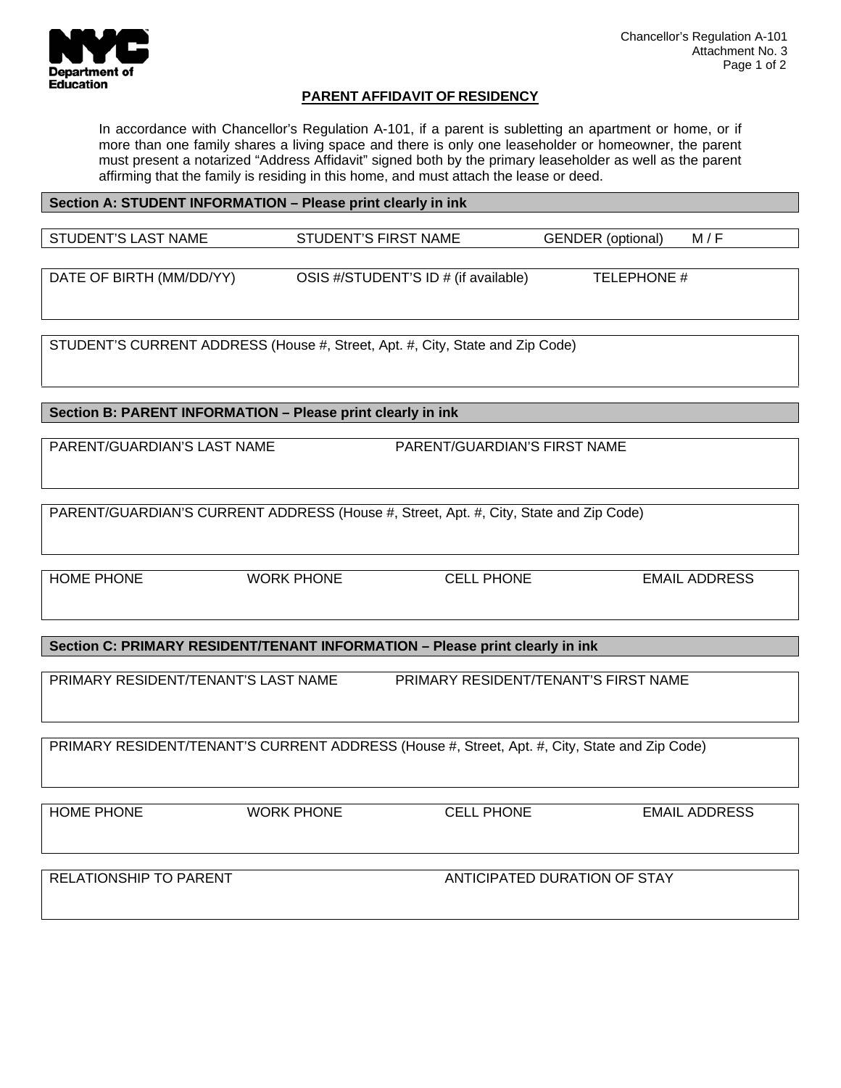

## **PARENT AFFIDAVIT OF RESIDENCY**

In accordance with Chancellor's Regulation A-101, if a parent is subletting an apartment or home, or if more than one family shares a living space and there is only one leaseholder or homeowner, the parent must present a notarized "Address Affidavit" signed both by the primary leaseholder as well as the parent affirming that the family is residing in this home, and must attach the lease or deed.

## **Section A: STUDENT INFORMATION – Please print clearly in ink**  STUDENT'S LAST NAME STUDENT'S FIRST NAME GENDER (optional) M/F DATE OF BIRTH (MM/DD/YY) OSIS #/STUDENT'S ID # (if available) TELEPHONE #

STUDENT'S CURRENT ADDRESS (House #, Street, Apt. #, City, State and Zip Code)

**Section B: PARENT INFORMATION – Please print clearly in ink** 

PARENT/GUARDIAN'S LAST NAME PARENT/GUARDIAN'S FIRST NAME

PARENT/GUARDIAN'S CURRENT ADDRESS (House #, Street, Apt. #, City, State and Zip Code)

HOME PHONE WORK PHONE CELL PHONE EMAIL ADDRESS

**Section C: PRIMARY RESIDENT/TENANT INFORMATION – Please print clearly in ink** 

PRIMARY RESIDENT/TENANT'S LAST NAME PRIMARY RESIDENT/TENANT'S FIRST NAME

PRIMARY RESIDENT/TENANT'S CURRENT ADDRESS (House #, Street, Apt. #, City, State and Zip Code)

HOME PHONE WORK PHONE CELL PHONE EMAIL ADDRESS RELATIONSHIP TO PARENT AND THE CONTROL OF STAY ANTICIPATED DURATION OF STAY